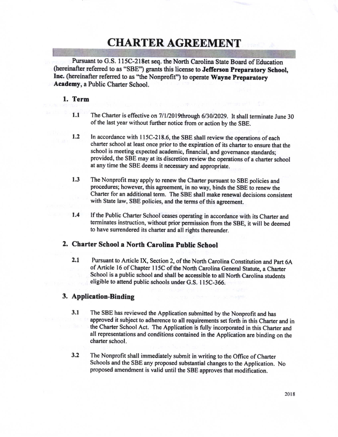# CHARTER AGREEMENT

Pursuant to G.S. 115C-218et seq. the North Carolina State Board of Education (hereinafter referred to as "SBE") grants this license to Jefferson Preparatory School, Inc. (hereinafter referred to as "the Nonprofit") to operate Wayne Preparatory Academy, a Public Charter School.

# l. Term

- 1.1 The Charter is effective on  $7/1/2019$ through  $6/30/2029$ . It shall terminate June 30 of the last year without further notice from or action by the SBE.
- 1.2 In accordance with 115C-218.6, the SBE shall review the operations of each charter school at least once prior to the expiration of its charter to ensure that the school is meeting expected academic, financial, and governance standards; provided, the SBE may at its discretion review the operations of a charter school at any time the SBE deems it necessary and appropriate.
- 13 The Nonprofit may apply to renew the Charter pursuant to SBE policies and procedures; however, this agreernent, in no way, binds the SBE to renew the Charter for an additional term. The SBE shall make renewal decisions consistent with State law, SBE policies, and the terms of this agreement.
- 1.4 If the Public Charter School ceases operating in accordance with its Charter and terminates instruction, without prior permission from the SBE, it will be deemed to have surrendered its charter and all rights thereunder.

# 2. Charter School a North Carolina Public School

2.1 Pursuant to Article IX, Section 2, of the North Carolina Constitution and Part 6A of Article 16 of Chapter 115C of the North Carolina General Statute, a Charter School is a public school and shall be accessible to all North Carolina students eligible to attend public schools under G.S. 115C-366.

#### 3. Application-Binding

- $3.1$ The SBE has reviewed the Application submitted by the Nonprofit and has approved it subject to adherence to all requirements set forth in this Charter and in the Charter School Act. The Application is fully incorporated in this Charter and all representations and conditions containcd in the Application are binding on thc charter school.
- $3.2$ The Nonprofit shall immediately submit in writing to the Office of Charter Schools and the SBE any proposed substantial changes to the Application. No proposed amendment is valid until the SBE approves that modification.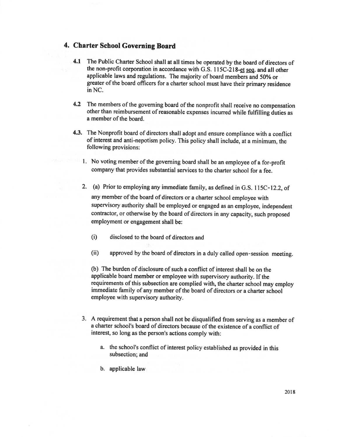# 4. Charter School Governing Board

- 4.1 The Public Charter School shall at all times be operated by the board of directors of the non-profit corporation in accordance with G.S. 115C-218-et seg. and all other applicable laws and regulations. The majority of board members and 50% or greater of the board officers for a charter school must have their primary residence in NC.
- 4.2 The members of the governing board of the nonprofit shall receive no compensation other than reimbursement of reasonable expenses incurred while fulfilling duties as a member of the board.
- 4.3. The Nonprofit board of directors shall adopt and ensure compliance with a conflict of interest and anti-nepotism policy. This policy shall include, at a minimum, the following provisions:
	- l. No voting member of the goveming board shall be an employee of a for-profit company that provides substantial services to the charter school for a fee.
	- 2. (a) Prior to employing any immediate family, as defined in G.S. 115C-12.2, of any member of the board of directors or a charter school employee with supervisory authority shall be employed or engaged as an employee, independent contractor, or otherwise by the board of directors in any capacity, such proposed employment or engagement shall be:
		- (i) disclosed to the board of directors and
		- (ii) approved by the board of directors in a duly called open-session meeting.

(b) The burden of disclosure of such a conflict of interest shall be on the applicable board member or employee with supervisory authority. lf the requirements of this subsection are complied with, the charter school may employ immediate family of any member of the board of directors or a charter school employee with supervisory authority.

- 3. A requirement that a person shall not be disqualified from serving as a member of a charter school's board of directors because of the existence of a conflict of interest, so long as the person's actions comply with:
	- a. the school's conflict of interest policy established as provided in this subsection; and
	- b. applicable law